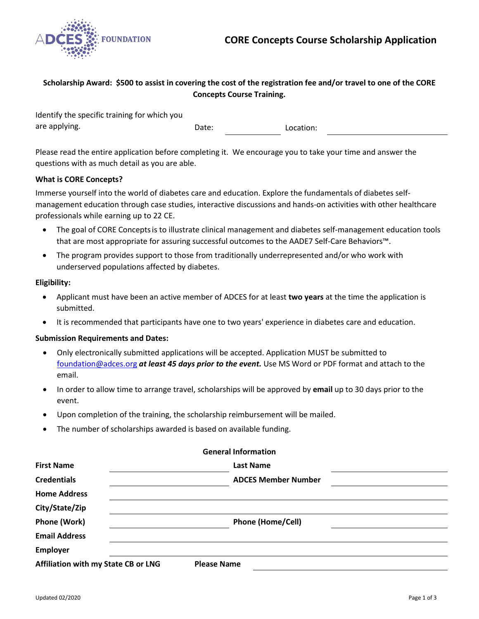

# **Scholarship Award: \$500 to assist in covering the cost of the registration fee and/or travel to one of the CORE Concepts Course Training.**

| Identify the specific training for which you |       |           |
|----------------------------------------------|-------|-----------|
| are applying.                                | Date: | Location: |

Please read the entire application before completing it. We encourage you to take your time and answer the questions with as much detail as you are able.

### **What is CORE Concepts?**

Immerse yourself into the world of diabetes care and education. Explore the fundamentals of diabetes selfmanagement education through case studies, interactive discussions and hands-on activities with other healthcare professionals while earning up to 22 CE.

- The goal of CORE Conceptsis to illustrate clinical management and diabetes self-management education tools that are most appropriate for assuring successful outcomes to the AADE7 Self-Care Behaviors™.
- The program provides support to those from traditionally underrepresented and/or who work with underserved populations affected by diabetes.

### **Eligibility:**

- Applicant must have been an active member of ADCES for at least **two years** at the time the application is submitted.
- It is recommended that participants have one to two years' experience in diabetes care and education.

### **Submission Requirements and Dates:**

- Only electronically submitted applications will be accepted. Application MUST be submitted to [foundation@adces.org](mailto:foundation@adces.org) *at least 45 days prior to the event.* Use MS Word or PDF format and attach to the email.
- In order to allow time to arrange travel, scholarships will be approved by **email** up to 30 days prior to the event.
- Upon completion of the training, the scholarship reimbursement will be mailed.
- The number of scholarships awarded is based on available funding.

|                                     | 99999999999999999          |  |
|-------------------------------------|----------------------------|--|
| <b>First Name</b>                   | <b>Last Name</b>           |  |
| <b>Credentials</b>                  | <b>ADCES Member Number</b> |  |
| <b>Home Address</b>                 |                            |  |
| City/State/Zip                      |                            |  |
| Phone (Work)                        | <b>Phone (Home/Cell)</b>   |  |
| <b>Email Address</b>                |                            |  |
| <b>Employer</b>                     |                            |  |
| Affiliation with my State CB or LNG | <b>Please Name</b>         |  |

**General Information**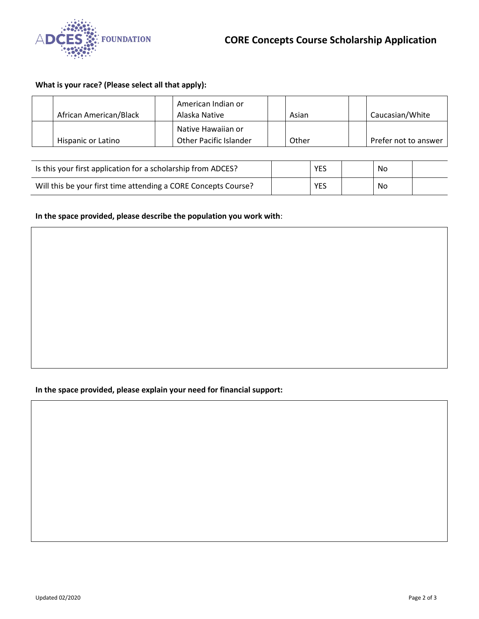

## **What is your race? (Please select all that apply):**

| African American/Black | American Indian or<br>Alaska Native          | Asian | Caucasian/White      |
|------------------------|----------------------------------------------|-------|----------------------|
| Hispanic or Latino     | Native Hawaiian or<br>Other Pacific Islander | Other | Prefer not to answer |

| Is this your first application for a scholarship from ADCES?   | YES | No. |  |
|----------------------------------------------------------------|-----|-----|--|
| Will this be your first time attending a CORE Concepts Course? | YES | No. |  |

# **In the space provided, please describe the population you work with**:

# **In the space provided, please explain your need for financial support:**